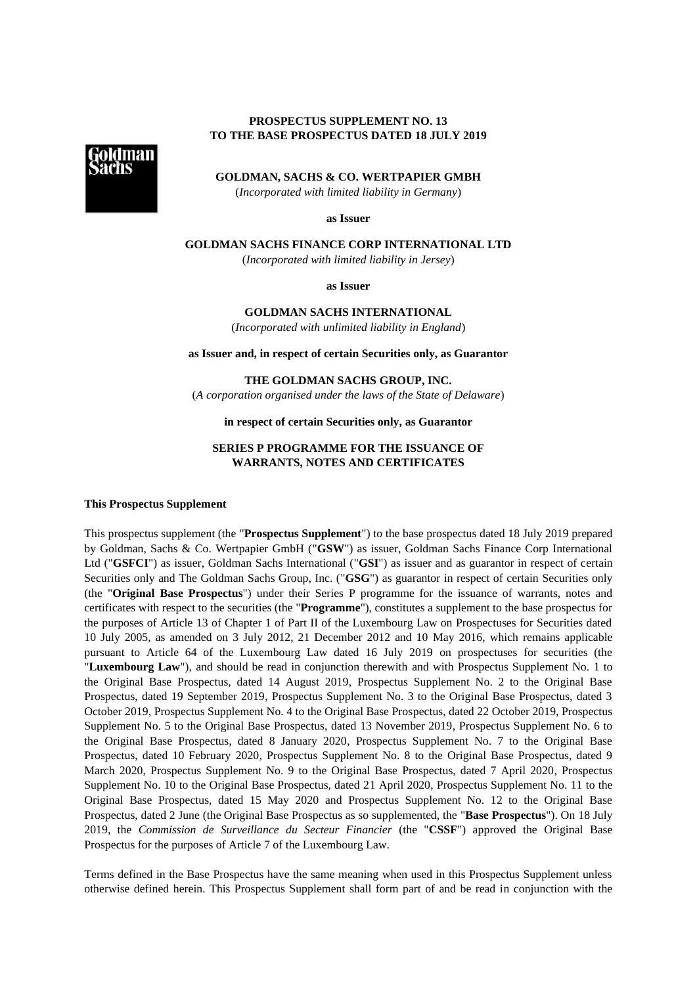# **PROSPECTUS SUPPLEMENT NO. 13 TO THE BASE PROSPECTUS DATED 18 JULY 2019**



**GOLDMAN, SACHS & CO. WERTPAPIER GMBH**

(*Incorporated with limited liability in Germany*)

**as Issuer**

**GOLDMAN SACHS FINANCE CORP INTERNATIONAL LTD**

(*Incorporated with limited liability in Jersey*)

**as Issuer**

**GOLDMAN SACHS INTERNATIONAL**

(*Incorporated with unlimited liability in England*)

**as Issuer and, in respect of certain Securities only, as Guarantor**

**THE GOLDMAN SACHS GROUP, INC.**

(*A corporation organised under the laws of the State of Delaware*)

# **in respect of certain Securities only, as Guarantor**

# **SERIES P PROGRAMME FOR THE ISSUANCE OF WARRANTS, NOTES AND CERTIFICATES**

#### **This Prospectus Supplement**

This prospectus supplement (the "**Prospectus Supplement**") to the base prospectus dated 18 July 2019 prepared by Goldman, Sachs & Co. Wertpapier GmbH ("**GSW**") as issuer, Goldman Sachs Finance Corp International Ltd ("**GSFCI**") as issuer, Goldman Sachs International ("**GSI**") as issuer and as guarantor in respect of certain Securities only and The Goldman Sachs Group, Inc. ("**GSG**") as guarantor in respect of certain Securities only (the "**Original Base Prospectus**") under their Series P programme for the issuance of warrants, notes and certificates with respect to the securities (the "**Programme**"), constitutes a supplement to the base prospectus for the purposes of Article 13 of Chapter 1 of Part II of the Luxembourg Law on Prospectuses for Securities dated 10 July 2005, as amended on 3 July 2012, 21 December 2012 and 10 May 2016, which remains applicable pursuant to Article 64 of the Luxembourg Law dated 16 July 2019 on prospectuses for securities (the "**Luxembourg Law**"), and should be read in conjunction therewith and with Prospectus Supplement No. 1 to the Original Base Prospectus, dated 14 August 2019, Prospectus Supplement No. 2 to the Original Base Prospectus, dated 19 September 2019, Prospectus Supplement No. 3 to the Original Base Prospectus, dated 3 October 2019, Prospectus Supplement No. 4 to the Original Base Prospectus, dated 22 October 2019, Prospectus Supplement No. 5 to the Original Base Prospectus, dated 13 November 2019, Prospectus Supplement No. 6 to the Original Base Prospectus, dated 8 January 2020, Prospectus Supplement No. 7 to the Original Base Prospectus, dated 10 February 2020, Prospectus Supplement No. 8 to the Original Base Prospectus, dated 9 March 2020, Prospectus Supplement No. 9 to the Original Base Prospectus, dated 7 April 2020, Prospectus Supplement No. 10 to the Original Base Prospectus, dated 21 April 2020, Prospectus Supplement No. 11 to the Original Base Prospectus, dated 15 May 2020 and Prospectus Supplement No. 12 to the Original Base Prospectus, dated 2 June (the Original Base Prospectus as so supplemented, the "**Base Prospectus**"). On 18 July 2019, the *Commission de Surveillance du Secteur Financier* (the "**CSSF**") approved the Original Base Prospectus for the purposes of Article 7 of the Luxembourg Law.

Terms defined in the Base Prospectus have the same meaning when used in this Prospectus Supplement unless otherwise defined herein. This Prospectus Supplement shall form part of and be read in conjunction with the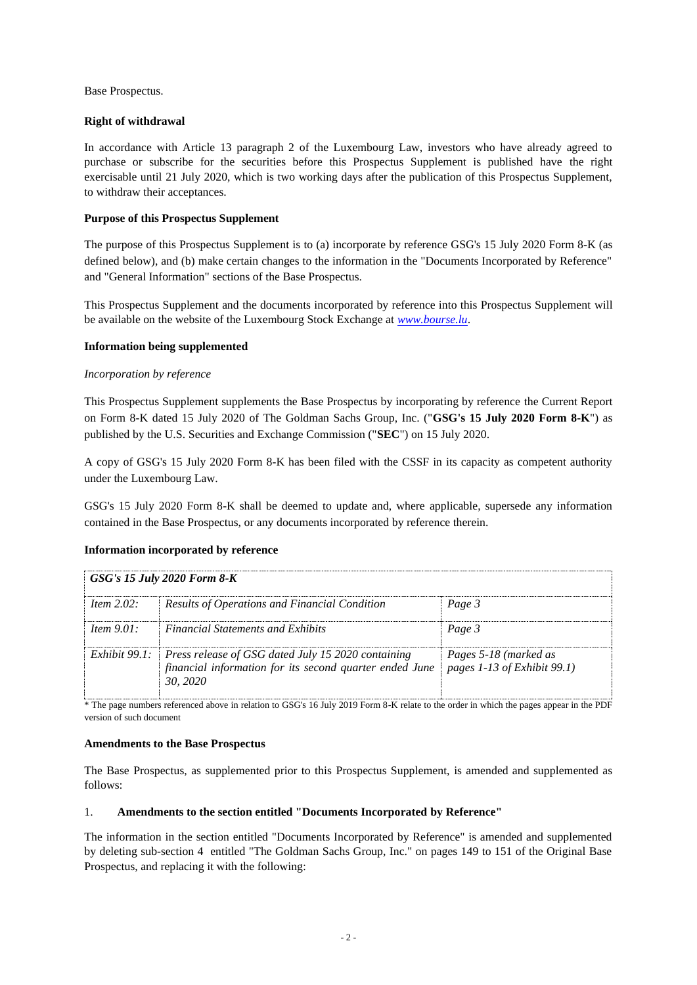Base Prospectus.

# **Right of withdrawal**

In accordance with Article 13 paragraph 2 of the Luxembourg Law, investors who have already agreed to purchase or subscribe for the securities before this Prospectus Supplement is published have the right exercisable until 21 July 2020, which is two working days after the publication of this Prospectus Supplement, to withdraw their acceptances.

# **Purpose of this Prospectus Supplement**

The purpose of this Prospectus Supplement is to (a) incorporate by reference GSG's 15 July 2020 Form 8-K (as defined below), and (b) make certain changes to the information in the "Documents Incorporated by Reference" and "General Information" sections of the Base Prospectus.

This Prospectus Supplement and the documents incorporated by reference into this Prospectus Supplement will be available on the website of the Luxembourg Stock Exchange at *[www.bourse.lu](http://www.bourse.lu/)*.

# **Information being supplemented**

### *Incorporation by reference*

This Prospectus Supplement supplements the Base Prospectus by incorporating by reference the Current Report on Form 8-K dated 15 July 2020 of The Goldman Sachs Group, Inc. ("**GSG's 15 July 2020 Form 8-K**") as published by the U.S. Securities and Exchange Commission ("**SEC**") on 15 July 2020.

A copy of GSG's 15 July 2020 Form 8-K has been filed with the CSSF in its capacity as competent authority under the Luxembourg Law.

GSG's 15 July 2020 Form 8-K shall be deemed to update and, where applicable, supersede any information contained in the Base Prospectus, or any documents incorporated by reference therein.

### **Information incorporated by reference**

| <b>GSG's 15 July 2020 Form 8-K</b> |                                                                                                                                         |                                                      |  |
|------------------------------------|-----------------------------------------------------------------------------------------------------------------------------------------|------------------------------------------------------|--|
| Item $2.02$ :                      | Results of Operations and Financial Condition                                                                                           | Page 3                                               |  |
| Item $9.01$ :                      | <b>Financial Statements and Exhibits</b>                                                                                                | Page 3                                               |  |
|                                    | Exhibit 99.1: Press release of GSG dated July 15 2020 containing<br>financial information for its second quarter ended June<br>30, 2020 | Pages 5-18 (marked as<br>pages 1-13 of Exhibit 99.1) |  |

\* The page numbers referenced above in relation to GSG's 16 July 2019 Form 8-K relate to the order in which the pages appear in the PDF version of such document

### **Amendments to the Base Prospectus**

The Base Prospectus, as supplemented prior to this Prospectus Supplement, is amended and supplemented as follows:

### 1. **Amendments to the section entitled "Documents Incorporated by Reference"**

The information in the section entitled "Documents Incorporated by Reference" is amended and supplemented by deleting sub-section 4 entitled "The Goldman Sachs Group, Inc." on pages 149 to 151 of the Original Base Prospectus, and replacing it with the following: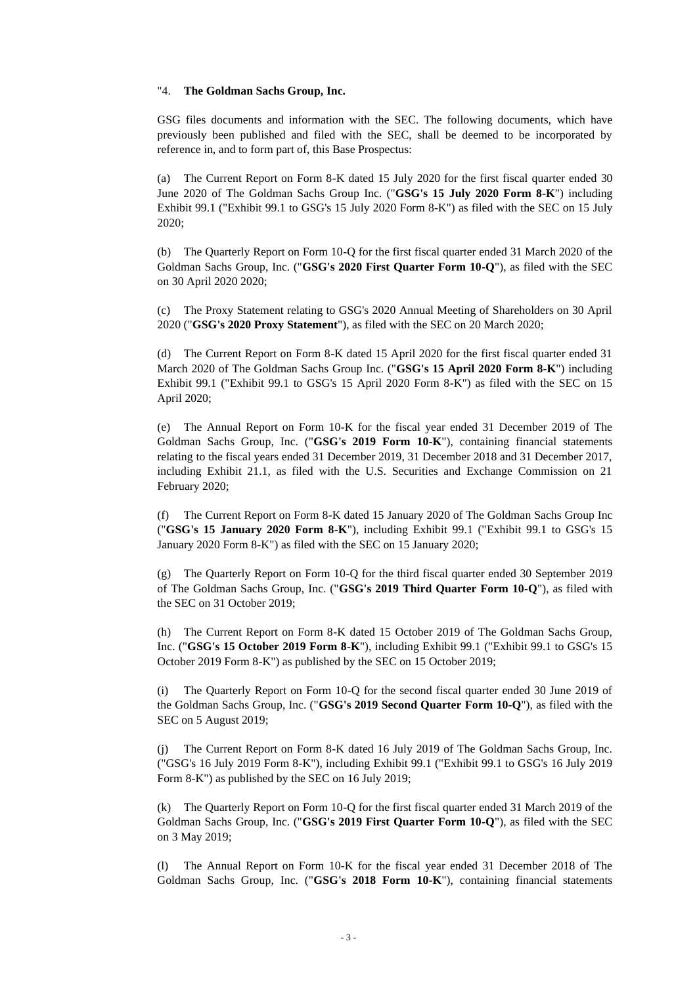#### "4. **The Goldman Sachs Group, Inc.**

GSG files documents and information with the SEC. The following documents, which have previously been published and filed with the SEC, shall be deemed to be incorporated by reference in, and to form part of, this Base Prospectus:

(a) The Current Report on Form 8-K dated 15 July 2020 for the first fiscal quarter ended 30 June 2020 of The Goldman Sachs Group Inc. ("**GSG's 15 July 2020 Form 8-K**") including Exhibit 99.1 ("Exhibit 99.1 to GSG's 15 July 2020 Form 8-K") as filed with the SEC on 15 July 2020;

(b) The Quarterly Report on Form 10-Q for the first fiscal quarter ended 31 March 2020 of the Goldman Sachs Group, Inc. ("**GSG's 2020 First Quarter Form 10-Q**"), as filed with the SEC on 30 April 2020 2020;

(c) The Proxy Statement relating to GSG's 2020 Annual Meeting of Shareholders on 30 April 2020 ("**GSG's 2020 Proxy Statement**"), as filed with the SEC on 20 March 2020;

(d) The Current Report on Form 8-K dated 15 April 2020 for the first fiscal quarter ended 31 March 2020 of The Goldman Sachs Group Inc. ("**GSG's 15 April 2020 Form 8-K**") including Exhibit 99.1 ("Exhibit 99.1 to GSG's 15 April 2020 Form 8-K") as filed with the SEC on 15 April 2020;

(e) The Annual Report on Form 10-K for the fiscal year ended 31 December 2019 of The Goldman Sachs Group, Inc. ("**GSG's 2019 Form 10-K**"), containing financial statements relating to the fiscal years ended 31 December 2019, 31 December 2018 and 31 December 2017, including Exhibit 21.1, as filed with the U.S. Securities and Exchange Commission on 21 February 2020;

(f) The Current Report on Form 8-K dated 15 January 2020 of The Goldman Sachs Group Inc ("**GSG's 15 January 2020 Form 8-K**"), including Exhibit 99.1 ("Exhibit 99.1 to GSG's 15 January 2020 Form 8-K") as filed with the SEC on 15 January 2020;

(g) The Quarterly Report on Form 10-Q for the third fiscal quarter ended 30 September 2019 of The Goldman Sachs Group, Inc. ("**GSG's 2019 Third Quarter Form 10-Q**"), as filed with the SEC on 31 October 2019;

(h) The Current Report on Form 8-K dated 15 October 2019 of The Goldman Sachs Group, Inc. ("**GSG's 15 October 2019 Form 8-K**"), including Exhibit 99.1 ("Exhibit 99.1 to GSG's 15 October 2019 Form 8-K") as published by the SEC on 15 October 2019;

(i) The Quarterly Report on Form 10-Q for the second fiscal quarter ended 30 June 2019 of the Goldman Sachs Group, Inc. ("**GSG's 2019 Second Quarter Form 10-Q**"), as filed with the SEC on 5 August 2019;

(j) The Current Report on Form 8-K dated 16 July 2019 of The Goldman Sachs Group, Inc. ("GSG's 16 July 2019 Form 8-K"), including Exhibit 99.1 ("Exhibit 99.1 to GSG's 16 July 2019 Form 8-K") as published by the SEC on 16 July 2019;

(k) The Quarterly Report on Form 10-Q for the first fiscal quarter ended 31 March 2019 of the Goldman Sachs Group, Inc. ("**GSG's 2019 First Quarter Form 10-Q**"), as filed with the SEC on 3 May 2019;

(l) The Annual Report on Form 10-K for the fiscal year ended 31 December 2018 of The Goldman Sachs Group, Inc. ("**GSG's 2018 Form 10-K**"), containing financial statements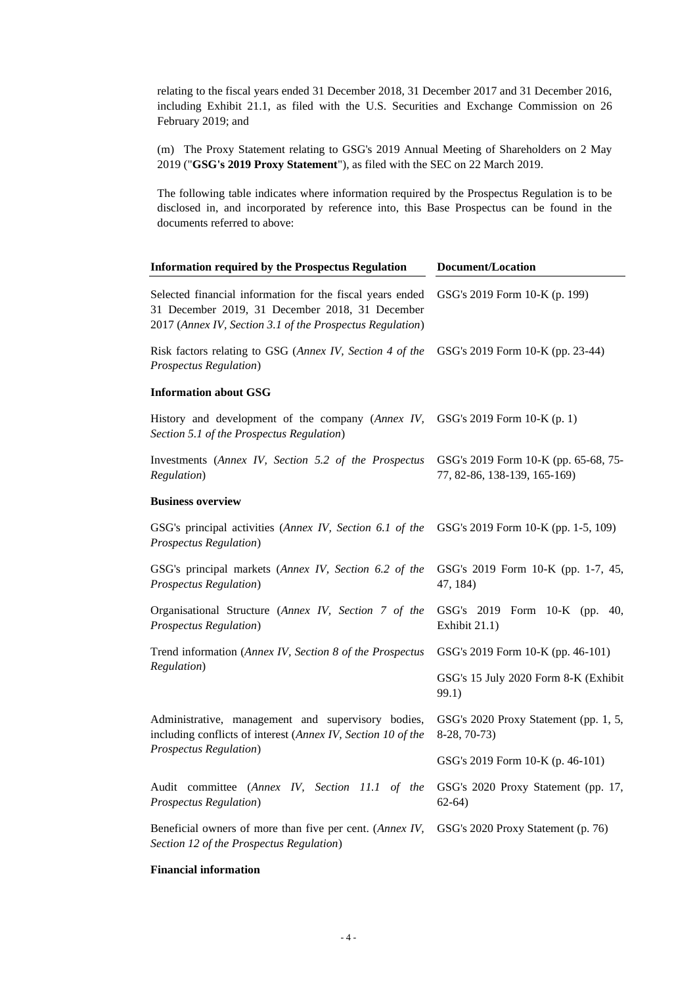relating to the fiscal years ended 31 December 2018, 31 December 2017 and 31 December 2016, including Exhibit 21.1, as filed with the U.S. Securities and Exchange Commission on 26 February 2019; and

(m) The Proxy Statement relating to GSG's 2019 Annual Meeting of Shareholders on 2 May 2019 ("**GSG's 2019 Proxy Statement**"), as filed with the SEC on 22 March 2019.

The following table indicates where information required by the Prospectus Regulation is to be disclosed in, and incorporated by reference into, this Base Prospectus can be found in the documents referred to above:

| <b>Information required by the Prospectus Regulation</b>                                                                                                                  | Document/Location                                                    |  |
|---------------------------------------------------------------------------------------------------------------------------------------------------------------------------|----------------------------------------------------------------------|--|
| Selected financial information for the fiscal years ended<br>31 December 2019, 31 December 2018, 31 December<br>2017 (Annex IV, Section 3.1 of the Prospectus Regulation) | GSG's 2019 Form 10-K (p. 199)                                        |  |
| Risk factors relating to GSG (Annex IV, Section 4 of the<br><b>Prospectus Regulation</b> )                                                                                | GSG's 2019 Form 10-K (pp. 23-44)                                     |  |
| <b>Information about GSG</b>                                                                                                                                              |                                                                      |  |
| History and development of the company (Annex IV,<br>Section 5.1 of the Prospectus Regulation)                                                                            | GSG's 2019 Form 10-K (p. 1)                                          |  |
| Investments (Annex IV, Section 5.2 of the Prospectus<br>Regulation)                                                                                                       | GSG's 2019 Form 10-K (pp. 65-68, 75-<br>77, 82-86, 138-139, 165-169) |  |
| <b>Business overview</b>                                                                                                                                                  |                                                                      |  |
| GSG's principal activities (Annex IV, Section 6.1 of the<br><b>Prospectus Regulation</b> )                                                                                | GSG's 2019 Form 10-K (pp. 1-5, 109)                                  |  |
| GSG's principal markets (Annex IV, Section 6.2 of the<br><b>Prospectus Regulation</b> )                                                                                   | GSG's 2019 Form 10-K (pp. 1-7, 45,<br>47, 184)                       |  |
| Organisational Structure (Annex IV, Section 7 of the<br><b>Prospectus Regulation</b> )                                                                                    | GSG's 2019 Form 10-K (pp.<br>40.<br>Exhibit 21.1)                    |  |
| Trend information (Annex IV, Section 8 of the Prospectus                                                                                                                  | GSG's 2019 Form 10-K (pp. 46-101)                                    |  |
| Regulation)                                                                                                                                                               | GSG's 15 July 2020 Form 8-K (Exhibit<br>99.1)                        |  |
| Administrative, management and supervisory bodies,<br>including conflicts of interest (Annex IV, Section 10 of the                                                        | GSG's 2020 Proxy Statement (pp. 1, 5,<br>8-28, 70-73)                |  |
| <b>Prospectus Regulation</b> )                                                                                                                                            | GSG's 2019 Form 10-K (p. 46-101)                                     |  |
| Audit committee (Annex IV, Section 11.1 of the<br><b>Prospectus Regulation</b> )                                                                                          | GSG's 2020 Proxy Statement (pp. 17,<br>$62-64)$                      |  |
| Beneficial owners of more than five per cent. (Annex IV,<br>Section 12 of the Prospectus Regulation)                                                                      | GSG's 2020 Proxy Statement (p. 76)                                   |  |

#### **Financial information**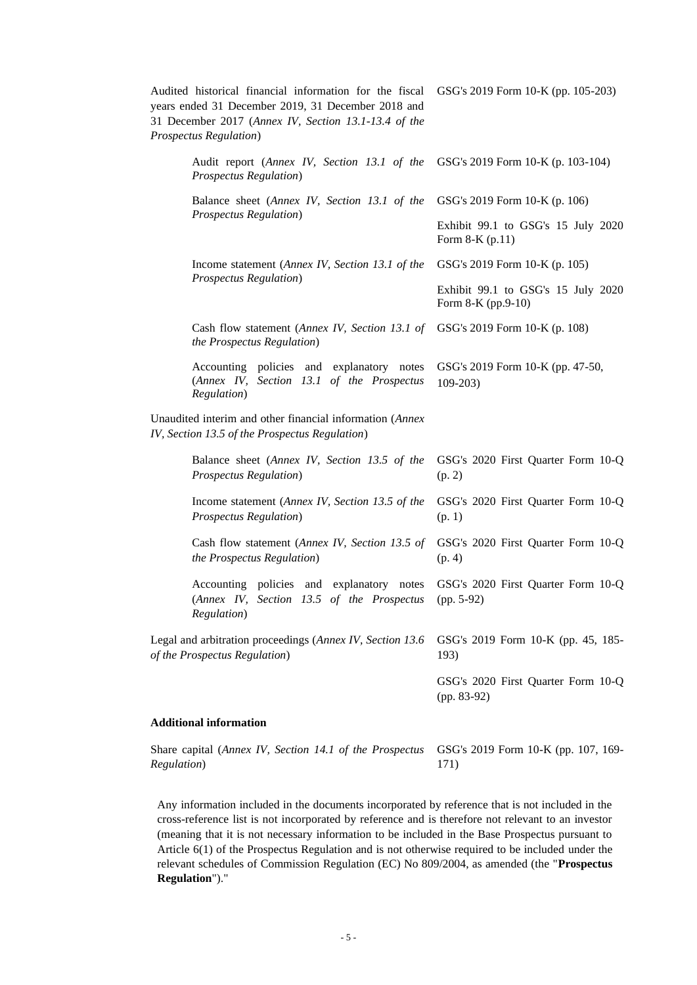| Audited historical financial information for the fiscal<br>years ended 31 December 2019, 31 December 2018 and<br>31 December 2017 (Annex IV, Section 13.1-13.4 of the<br><b>Prospectus Regulation</b> ) | GSG's 2019 Form 10-K (pp. 105-203)                       |
|---------------------------------------------------------------------------------------------------------------------------------------------------------------------------------------------------------|----------------------------------------------------------|
| Audit report (Annex IV, Section 13.1 of the<br>Prospectus Regulation)                                                                                                                                   | GSG's 2019 Form 10-K (p. 103-104)                        |
| Balance sheet (Annex IV, Section 13.1 of the                                                                                                                                                            | GSG's 2019 Form 10-K (p. 106)                            |
| <b>Prospectus Regulation</b> )                                                                                                                                                                          | Exhibit 99.1 to GSG's 15 July 2020<br>Form $8-K$ (p.11)  |
| Income statement (Annex IV, Section 13.1 of the                                                                                                                                                         | GSG's 2019 Form 10-K (p. 105)                            |
| <b>Prospectus Regulation</b> )                                                                                                                                                                          | Exhibit 99.1 to GSG's 15 July 2020<br>Form 8-K (pp.9-10) |
| Cash flow statement (Annex IV, Section 13.1 of GSG's 2019 Form 10-K (p. 108)<br>the Prospectus Regulation)                                                                                              |                                                          |
| Accounting policies and explanatory notes<br>(Annex IV, Section 13.1 of the Prospectus<br>Regulation)                                                                                                   | GSG's 2019 Form 10-K (pp. 47-50,<br>$109 - 203$          |
| Unaudited interim and other financial information (Annex<br>IV, Section 13.5 of the Prospectus Regulation)                                                                                              |                                                          |
| Balance sheet (Annex IV, Section 13.5 of the<br><b>Prospectus Regulation</b> )                                                                                                                          | GSG's 2020 First Quarter Form 10-Q<br>(p. 2)             |
| Income statement (Annex IV, Section 13.5 of the<br><b>Prospectus Regulation</b> )                                                                                                                       | GSG's 2020 First Quarter Form 10-Q<br>(p. 1)             |
| Cash flow statement (Annex IV, Section 13.5 of<br>the Prospectus Regulation)                                                                                                                            | GSG's 2020 First Quarter Form 10-Q<br>(p. 4)             |
| Accounting policies and explanatory notes<br>(Annex IV, Section 13.5 of the Prospectus<br><i>Regulation</i> )                                                                                           | GSG's 2020 First Quarter Form 10-Q<br>$(pp. 5-92)$       |
| Legal and arbitration proceedings (Annex IV, Section 13.6)<br>of the Prospectus Regulation)                                                                                                             | GSG's 2019 Form 10-K (pp. 45, 185-<br>193)               |
|                                                                                                                                                                                                         | GSG's 2020 First Quarter Form 10-Q<br>$(pp. 83-92)$      |
| <b>Additional information</b>                                                                                                                                                                           |                                                          |
| Share capital (Annex IV, Section 14.1 of the Prospectus                                                                                                                                                 | GSG's 2019 Form 10-K (pp. 107, 169-                      |

Any information included in the documents incorporated by reference that is not included in the cross-reference list is not incorporated by reference and is therefore not relevant to an investor (meaning that it is not necessary information to be included in the Base Prospectus pursuant to Article 6(1) of the Prospectus Regulation and is not otherwise required to be included under the relevant schedules of Commission Regulation (EC) No 809/2004, as amended (the "**Prospectus Regulation**")."

171)

*Regulation*)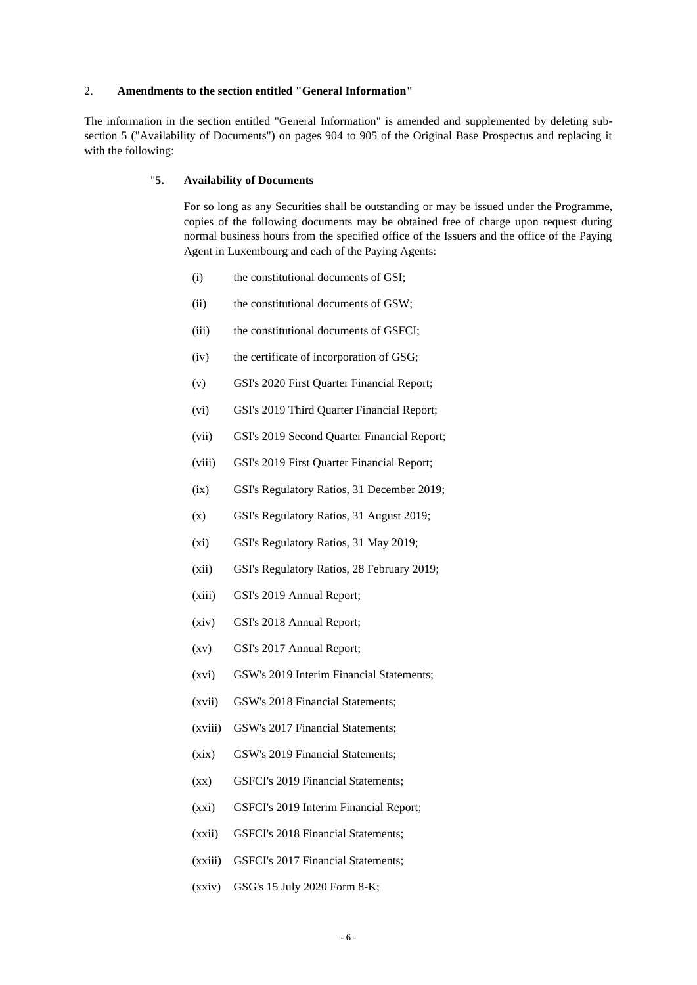### 2. **Amendments to the section entitled "General Information"**

The information in the section entitled "General Information" is amended and supplemented by deleting subsection 5 ("Availability of Documents") on pages 904 to 905 of the Original Base Prospectus and replacing it with the following:

#### "**5. Availability of Documents**

For so long as any Securities shall be outstanding or may be issued under the Programme, copies of the following documents may be obtained free of charge upon request during normal business hours from the specified office of the Issuers and the office of the Paying Agent in Luxembourg and each of the Paying Agents:

- (i) the constitutional documents of GSI;
- (ii) the constitutional documents of GSW;
- (iii) the constitutional documents of GSFCI;
- (iv) the certificate of incorporation of GSG;
- (v) GSI's 2020 First Quarter Financial Report;
- (vi) GSI's 2019 Third Quarter Financial Report;
- (vii) GSI's 2019 Second Quarter Financial Report;
- (viii) GSI's 2019 First Quarter Financial Report;
- (ix) GSI's Regulatory Ratios, 31 December 2019;
- (x) GSI's Regulatory Ratios, 31 August 2019;
- (xi) GSI's Regulatory Ratios, 31 May 2019;
- (xii) GSI's Regulatory Ratios, 28 February 2019;
- (xiii) GSI's 2019 Annual Report;
- (xiv) GSI's 2018 Annual Report;
- (xv) GSI's 2017 Annual Report;
- (xvi) GSW's 2019 Interim Financial Statements;
- (xvii) GSW's 2018 Financial Statements;
- (xviii) GSW's 2017 Financial Statements;
- (xix) GSW's 2019 Financial Statements;
- (xx) GSFCI's 2019 Financial Statements;
- (xxi) GSFCI's 2019 Interim Financial Report;
- (xxii) GSFCI's 2018 Financial Statements;
- (xxiii) GSFCI's 2017 Financial Statements;
- (xxiv) GSG's 15 July 2020 Form 8-K;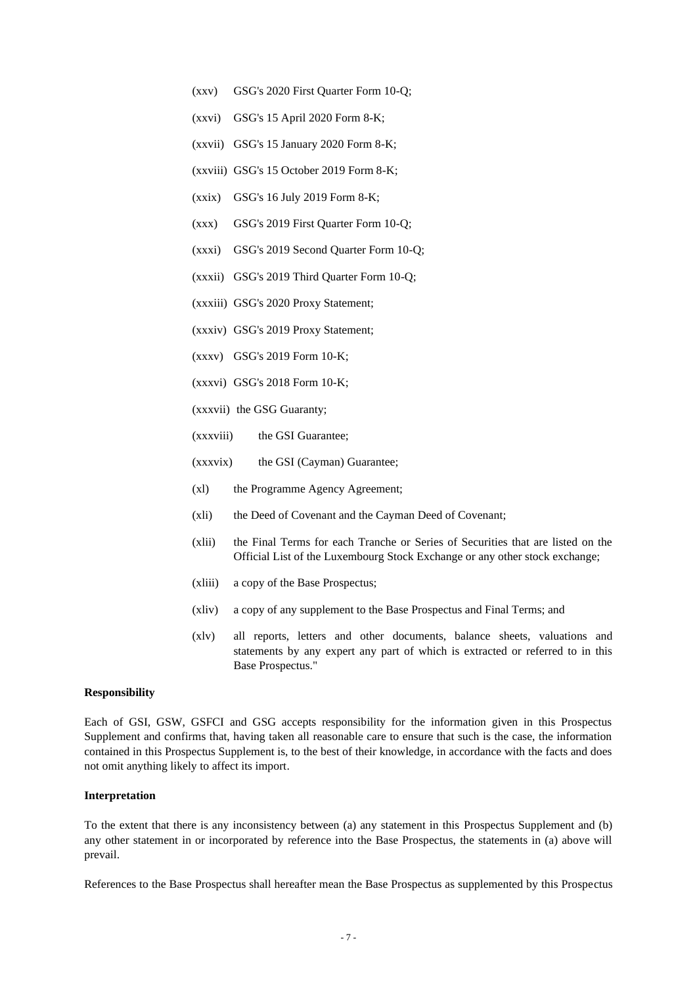- (xxv) GSG's 2020 First Quarter Form 10-Q;
- (xxvi) GSG's 15 April 2020 Form 8-K;
- (xxvii) GSG's 15 January 2020 Form 8-K;
- (xxviii) GSG's 15 October 2019 Form 8-K;
- (xxix) GSG's 16 July 2019 Form 8-K;
- (xxx) GSG's 2019 First Quarter Form 10-Q;
- (xxxi) GSG's 2019 Second Quarter Form 10-Q;
- (xxxii) GSG's 2019 Third Quarter Form 10-Q;
- (xxxiii) GSG's 2020 Proxy Statement;
- (xxxiv) GSG's 2019 Proxy Statement;
- (xxxv) GSG's 2019 Form 10-K;
- (xxxvi) GSG's 2018 Form 10-K;
- (xxxvii) the GSG Guaranty;
- (xxxviii) the GSI Guarantee;
- (xxxvix) the GSI (Cayman) Guarantee;
- (xl) the Programme Agency Agreement;
- (xli) the Deed of Covenant and the Cayman Deed of Covenant;
- (xlii) the Final Terms for each Tranche or Series of Securities that are listed on the Official List of the Luxembourg Stock Exchange or any other stock exchange;
- (xliii) a copy of the Base Prospectus;
- (xliv) a copy of any supplement to the Base Prospectus and Final Terms; and
- (xlv) all reports, letters and other documents, balance sheets, valuations and statements by any expert any part of which is extracted or referred to in this Base Prospectus."

#### **Responsibility**

Each of GSI, GSW, GSFCI and GSG accepts responsibility for the information given in this Prospectus Supplement and confirms that, having taken all reasonable care to ensure that such is the case, the information contained in this Prospectus Supplement is, to the best of their knowledge, in accordance with the facts and does not omit anything likely to affect its import.

### **Interpretation**

To the extent that there is any inconsistency between (a) any statement in this Prospectus Supplement and (b) any other statement in or incorporated by reference into the Base Prospectus, the statements in (a) above will prevail.

References to the Base Prospectus shall hereafter mean the Base Prospectus as supplemented by this Prospectus